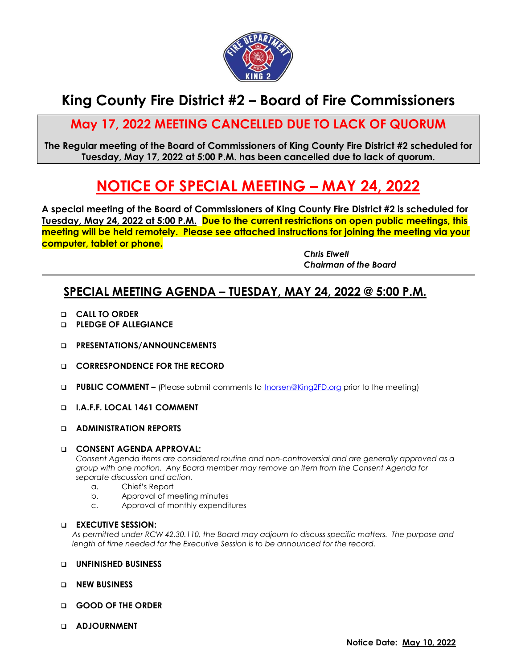

## **King County Fire District #2 – Board of Fire Commissioners**

## **May 17, 2022 MEETING CANCELLED DUE TO LACK OF QUORUM**

**The Regular meeting of the Board of Commissioners of King County Fire District #2 scheduled for Tuesday, May 17, 2022 at 5:00 P.M. has been cancelled due to lack of quorum.**

# **NOTICE OF SPECIAL MEETING – MAY 24, 2022**

**A special meeting of the Board of Commissioners of King County Fire District #2 is scheduled for Tuesday, May 24, 2022 at 5:00 P.M. Due to the current restrictions on open public meetings, this meeting will be held remotely. Please see attached instructions for joining the meeting via your computer, tablet or phone.**

> *Chris Elwell Chairman of the Board*

### **SPECIAL MEETING AGENDA – TUESDAY, MAY 24, 2022 @ 5:00 P.M.**

- ❑ **CALL TO ORDER**
- ❑ **PLEDGE OF ALLEGIANCE**
- ❑ **PRESENTATIONS/ANNOUNCEMENTS**
- ❑ **CORRESPONDENCE FOR THE RECORD**
- ❑ **PUBLIC COMMENT –** (Please submit comments to [tnorsen@King2FD.org](mailto:tnorsen@King2FD.org) prior to the meeting)
- ❑ **I.A.F.F. LOCAL 1461 COMMENT**
- ❑ **ADMINISTRATION REPORTS**

#### ❑ **CONSENT AGENDA APPROVAL:**

*Consent Agenda items are considered routine and non-controversial and are generally approved as a group with one motion. Any Board member may remove an item from the Consent Agenda for separate discussion and action.*

- a. Chief's Report
- b. Approval of meeting minutes
- c. Approval of monthly expenditures

#### ❑ **EXECUTIVE SESSION:**

*As permitted under RCW 42.30.110, the Board may adjourn to discuss specific matters. The purpose and length of time needed for the Executive Session is to be announced for the record.*

#### ❑ **UNFINISHED BUSINESS**

- ❑ **NEW BUSINESS**
- ❑ **GOOD OF THE ORDER**
- ❑ **ADJOURNMENT**